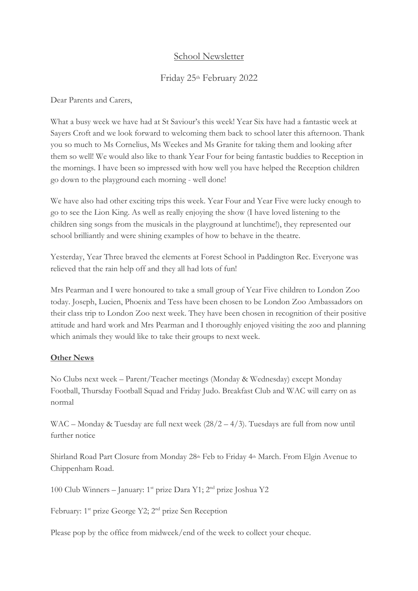# School Newsletter

# Friday 25th February 2022

Dear Parents and Carers,

What a busy week we have had at St Saviour's this week! Year Six have had a fantastic week at Sayers Croft and we look forward to welcoming them back to school later this afternoon. Thank you so much to Ms Cornelius, Ms Weekes and Ms Granite for taking them and looking after them so well! We would also like to thank Year Four for being fantastic buddies to Reception in the mornings. I have been so impressed with how well you have helped the Reception children go down to the playground each morning - well done!

We have also had other exciting trips this week. Year Four and Year Five were lucky enough to go to see the Lion King. As well as really enjoying the show (I have loved listening to the children sing songs from the musicals in the playground at lunchtime!), they represented our school brilliantly and were shining examples of how to behave in the theatre.

Yesterday, Year Three braved the elements at Forest School in Paddington Rec. Everyone was relieved that the rain help off and they all had lots of fun!

Mrs Pearman and I were honoured to take a small group of Year Five children to London Zoo today. Joseph, Lucien, Phoenix and Tess have been chosen to be London Zoo Ambassadors on their class trip to London Zoo next week. They have been chosen in recognition of their positive attitude and hard work and Mrs Pearman and I thoroughly enjoyed visiting the zoo and planning which animals they would like to take their groups to next week.

#### **Other News**

No Clubs next week – Parent/Teacher meetings (Monday & Wednesday) except Monday Football, Thursday Football Squad and Friday Judo. Breakfast Club and WAC will carry on as normal

WAC – Monday & Tuesday are full next week (28/2 – 4/3). Tuesdays are full from now until further notice

Shirland Road Part Closure from Monday 28<sup>th</sup> Feb to Friday 4<sup>th</sup> March. From Elgin Avenue to Chippenham Road.

100 Club Winners – January: 1st prize Dara Y1; 2nd prize Joshua Y2

February: 1<sup>st</sup> prize George Y2; 2<sup>nd</sup> prize Sen Reception

Please pop by the office from midweek/end of the week to collect your cheque.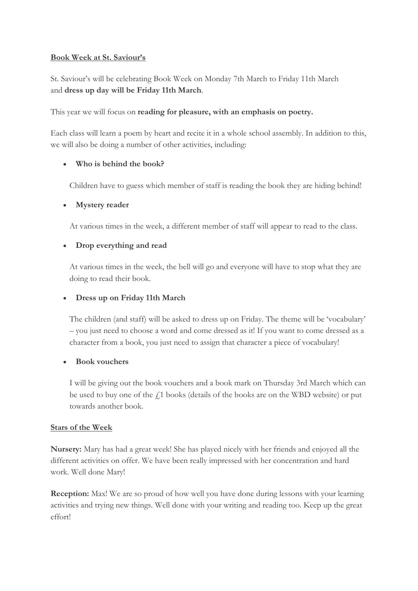#### **Book Week at St. Saviour's**

St. Saviour's will be celebrating Book Week on Monday 7th March to Friday 11th March and **dress up day will be Friday 11th March**.

This year we will focus on **reading for pleasure, with an emphasis on poetry.**

Each class will learn a poem by heart and recite it in a whole school assembly. In addition to this, we will also be doing a number of other activities, including:

### • **Who is behind the book?**

Children have to guess which member of staff is reading the book they are hiding behind!

#### • **Mystery reader**

At various times in the week, a different member of staff will appear to read to the class.

### • **Drop everything and read**

At various times in the week, the bell will go and everyone will have to stop what they are doing to read their book.

## • **Dress up on Friday 11th March**

The children (and staff) will be asked to dress up on Friday. The theme will be 'vocabulary' – you just need to choose a word and come dressed as it! If you want to come dressed as a character from a book, you just need to assign that character a piece of vocabulary!

#### • **Book vouchers**

I will be giving out the book vouchers and a book mark on Thursday 3rd March which can be used to buy one of the  $f<sub>i</sub>$ 1 books (details of the books are on the WBD website) or put towards another book.

#### **Stars of the Week**

**Nursery:** Mary has had a great week! She has played nicely with her friends and enjoyed all the different activities on offer. We have been really impressed with her concentration and hard work. Well done Mary!

**Reception:** Max! We are so proud of how well you have done during lessons with your learning activities and trying new things. Well done with your writing and reading too. Keep up the great effort!